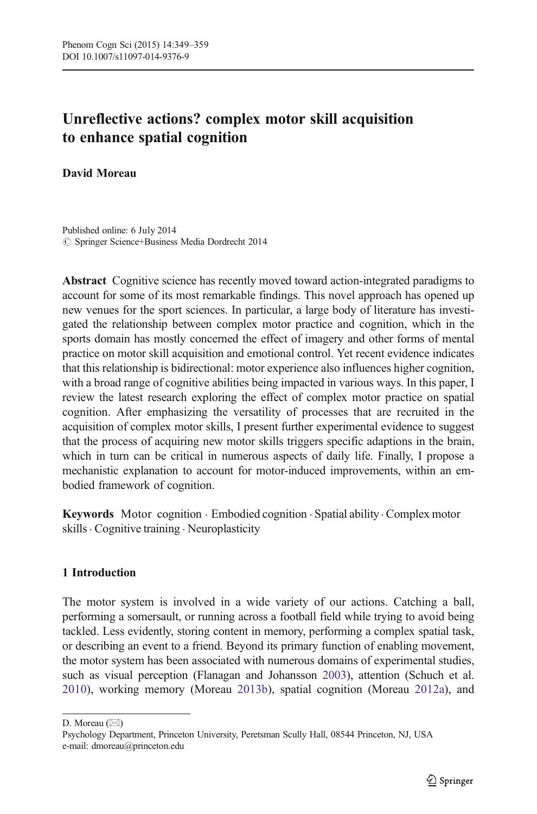# Unreflective actions? complex motor skill acquisition to enhance spatial cognition

David Moreau

 $\oslash$  Springer Science+Business Media Dordrecht 2014 Published online: 6 July 2014

Abstract Cognitive science has recently moved toward action-integrated paradigms to account for some of its most remarkable findings. This novel approach has opened up new venues for the sport sciences. In particular, a large body of literature has investigated the relationship between complex motor practice and cognition, which in the sports domain has mostly concerned the effect of imagery and other forms of mental practice on motor skill acquisition and emotional control. Yet recent evidence indicates that this relationship is bidirectional: motor experience also influences higher cognition, with a broad range of cognitive abilities being impacted in various ways. In this paper, I review the latest research exploring the effect of complex motor practice on spatial cognition. After emphasizing the versatility of processes that are recruited in the acquisition of complex motor skills, I present further experimental evidence to suggest that the process of acquiring new motor skills triggers specific adaptions in the brain, which in turn can be critical in numerous aspects of daily life. Finally, I propose a mechanistic explanation to account for motor-induced improvements, within an embodied framework of cognition.

Keywords Motor cognition . Embodied cognition . Spatial ability. Complex motor skills. Cognitive training . Neuroplasticity

## 1 Introduction

The motor system is involved in a wide variety of our actions. Catching a ball, performing a somersault, or running across a football field while trying to avoid being tackled. Less evidently, storing content in memory, performing a complex spatial task, or describing an event to a friend. Beyond its primary function of enabling movement, the motor system has been associated with numerous domains of experimental studies, such as visual perception (Flanagan and Johansson [2003\)](#page-8-0), attention (Schuch et al. [2010\)](#page-9-0), working memory (Moreau [2013b](#page-9-0)), spatial cognition (Moreau [2012a\)](#page-9-0), and

D. Moreau  $(\boxtimes)$ 

Psychology Department, Princeton University, Peretsman Scully Hall, 08544 Princeton, NJ, USA e-mail: dmoreau@princeton.edu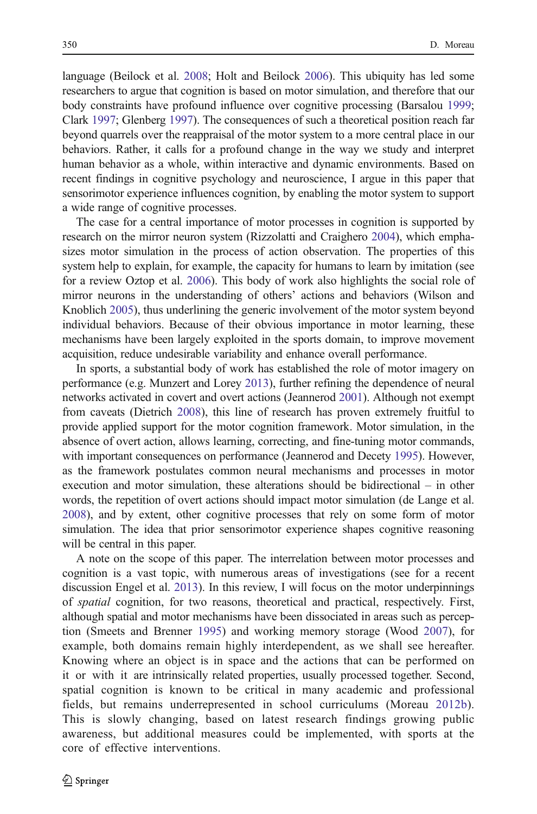language (Beilock et al. [2008](#page-7-0); Holt and Beilock [2006](#page-8-0)). This ubiquity has led some researchers to argue that cognition is based on motor simulation, and therefore that our body constraints have profound influence over cognitive processing (Barsalou [1999;](#page-7-0) Clark [1997;](#page-7-0) Glenberg [1997\)](#page-8-0). The consequences of such a theoretical position reach far beyond quarrels over the reappraisal of the motor system to a more central place in our behaviors. Rather, it calls for a profound change in the way we study and interpret human behavior as a whole, within interactive and dynamic environments. Based on recent findings in cognitive psychology and neuroscience, I argue in this paper that sensorimotor experience influences cognition, by enabling the motor system to support a wide range of cognitive processes.

The case for a central importance of motor processes in cognition is supported by research on the mirror neuron system (Rizzolatti and Craighero [2004\)](#page-9-0), which emphasizes motor simulation in the process of action observation. The properties of this system help to explain, for example, the capacity for humans to learn by imitation (see for a review Oztop et al. [2006\)](#page-9-0). This body of work also highlights the social role of mirror neurons in the understanding of others' actions and behaviors (Wilson and Knoblich [2005](#page-10-0)), thus underlining the generic involvement of the motor system beyond individual behaviors. Because of their obvious importance in motor learning, these mechanisms have been largely exploited in the sports domain, to improve movement acquisition, reduce undesirable variability and enhance overall performance.

In sports, a substantial body of work has established the role of motor imagery on performance (e.g. Munzert and Lorey [2013](#page-9-0)), further refining the dependence of neural networks activated in covert and overt actions (Jeannerod [2001](#page-8-0)). Although not exempt from caveats (Dietrich [2008\)](#page-7-0), this line of research has proven extremely fruitful to provide applied support for the motor cognition framework. Motor simulation, in the absence of overt action, allows learning, correcting, and fine-tuning motor commands, with important consequences on performance (Jeannerod and Decety [1995](#page-8-0)). However, as the framework postulates common neural mechanisms and processes in motor execution and motor simulation, these alterations should be bidirectional – in other words, the repetition of overt actions should impact motor simulation (de Lange et al. [2008\)](#page-7-0), and by extent, other cognitive processes that rely on some form of motor simulation. The idea that prior sensorimotor experience shapes cognitive reasoning will be central in this paper.

A note on the scope of this paper. The interrelation between motor processes and cognition is a vast topic, with numerous areas of investigations (see for a recent discussion Engel et al. [2013](#page-8-0)). In this review, I will focus on the motor underpinnings of spatial cognition, for two reasons, theoretical and practical, respectively. First, although spatial and motor mechanisms have been dissociated in areas such as perception (Smeets and Brenner [1995\)](#page-10-0) and working memory storage (Wood [2007\)](#page-10-0), for example, both domains remain highly interdependent, as we shall see hereafter. Knowing where an object is in space and the actions that can be performed on it or with it are intrinsically related properties, usually processed together. Second, spatial cognition is known to be critical in many academic and professional fields, but remains underrepresented in school curriculums (Moreau [2012b\)](#page-9-0). This is slowly changing, based on latest research findings growing public awareness, but additional measures could be implemented, with sports at the core of effective interventions.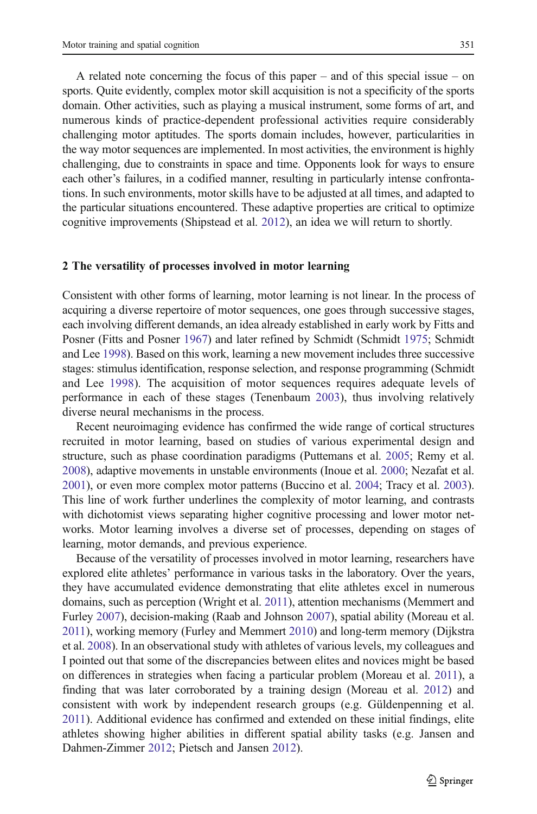A related note concerning the focus of this paper – and of this special issue – on sports. Quite evidently, complex motor skill acquisition is not a specificity of the sports domain. Other activities, such as playing a musical instrument, some forms of art, and numerous kinds of practice-dependent professional activities require considerably challenging motor aptitudes. The sports domain includes, however, particularities in the way motor sequences are implemented. In most activities, the environment is highly challenging, due to constraints in space and time. Opponents look for ways to ensure each other's failures, in a codified manner, resulting in particularly intense confrontations. In such environments, motor skills have to be adjusted at all times, and adapted to the particular situations encountered. These adaptive properties are critical to optimize cognitive improvements (Shipstead et al. [2012\)](#page-10-0), an idea we will return to shortly.

#### 2 The versatility of processes involved in motor learning

Consistent with other forms of learning, motor learning is not linear. In the process of acquiring a diverse repertoire of motor sequences, one goes through successive stages, each involving different demands, an idea already established in early work by Fitts and Posner (Fitts and Posner [1967\)](#page-8-0) and later refined by Schmidt (Schmidt [1975](#page-9-0); Schmidt and Lee [1998\)](#page-9-0). Based on this work, learning a new movement includes three successive stages: stimulus identification, response selection, and response programming (Schmidt and Lee [1998\)](#page-9-0). The acquisition of motor sequences requires adequate levels of performance in each of these stages (Tenenbaum [2003](#page-10-0)), thus involving relatively diverse neural mechanisms in the process.

Recent neuroimaging evidence has confirmed the wide range of cortical structures recruited in motor learning, based on studies of various experimental design and structure, such as phase coordination paradigms (Puttemans et al. [2005](#page-9-0); Remy et al. [2008\)](#page-9-0), adaptive movements in unstable environments (Inoue et al. [2000](#page-8-0); Nezafat et al. [2001\)](#page-9-0), or even more complex motor patterns (Buccino et al. [2004](#page-7-0); Tracy et al. [2003\)](#page-10-0). This line of work further underlines the complexity of motor learning, and contrasts with dichotomist views separating higher cognitive processing and lower motor networks. Motor learning involves a diverse set of processes, depending on stages of learning, motor demands, and previous experience.

Because of the versatility of processes involved in motor learning, researchers have explored elite athletes' performance in various tasks in the laboratory. Over the years, they have accumulated evidence demonstrating that elite athletes excel in numerous domains, such as perception (Wright et al. [2011\)](#page-10-0), attention mechanisms (Memmert and Furley [2007](#page-8-0)), decision-making (Raab and Johnson [2007](#page-9-0)), spatial ability (Moreau et al. [2011](#page-9-0)), working memory (Furley and Memmert [2010](#page-8-0)) and long-term memory (Dijkstra et al. [2008](#page-8-0)). In an observational study with athletes of various levels, my colleagues and I pointed out that some of the discrepancies between elites and novices might be based on differences in strategies when facing a particular problem (Moreau et al. [2011](#page-9-0)), a finding that was later corroborated by a training design (Moreau et al. [2012\)](#page-9-0) and consistent with work by independent research groups (e.g. Güldenpenning et al. [2011](#page-8-0)). Additional evidence has confirmed and extended on these initial findings, elite athletes showing higher abilities in different spatial ability tasks (e.g. Jansen and Dahmen-Zimmer [2012;](#page-8-0) Pietsch and Jansen [2012\)](#page-9-0).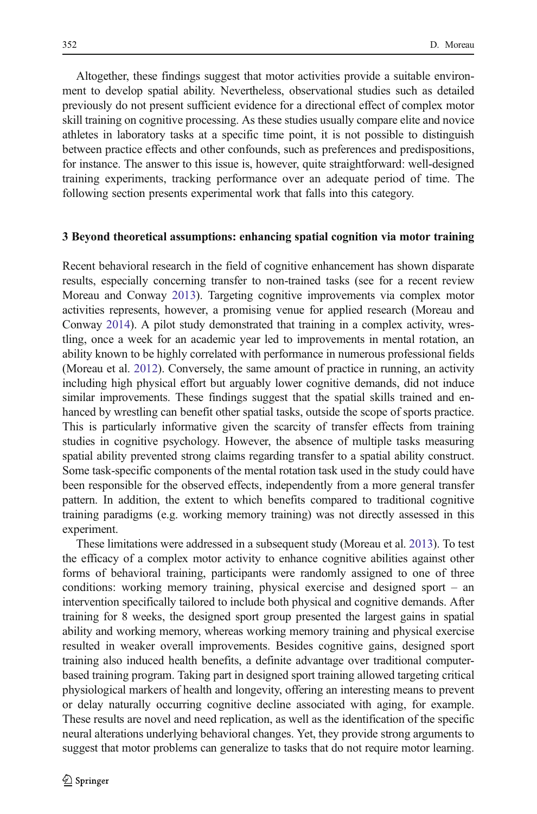Altogether, these findings suggest that motor activities provide a suitable environment to develop spatial ability. Nevertheless, observational studies such as detailed previously do not present sufficient evidence for a directional effect of complex motor skill training on cognitive processing. As these studies usually compare elite and novice athletes in laboratory tasks at a specific time point, it is not possible to distinguish between practice effects and other confounds, such as preferences and predispositions, for instance. The answer to this issue is, however, quite straightforward: well-designed training experiments, tracking performance over an adequate period of time. The following section presents experimental work that falls into this category.

#### 3 Beyond theoretical assumptions: enhancing spatial cognition via motor training

Recent behavioral research in the field of cognitive enhancement has shown disparate results, especially concerning transfer to non-trained tasks (see for a recent review Moreau and Conway [2013](#page-9-0)). Targeting cognitive improvements via complex motor activities represents, however, a promising venue for applied research (Moreau and Conway [2014\)](#page-9-0). A pilot study demonstrated that training in a complex activity, wrestling, once a week for an academic year led to improvements in mental rotation, an ability known to be highly correlated with performance in numerous professional fields (Moreau et al. [2012](#page-9-0)). Conversely, the same amount of practice in running, an activity including high physical effort but arguably lower cognitive demands, did not induce similar improvements. These findings suggest that the spatial skills trained and enhanced by wrestling can benefit other spatial tasks, outside the scope of sports practice. This is particularly informative given the scarcity of transfer effects from training studies in cognitive psychology. However, the absence of multiple tasks measuring spatial ability prevented strong claims regarding transfer to a spatial ability construct. Some task-specific components of the mental rotation task used in the study could have been responsible for the observed effects, independently from a more general transfer pattern. In addition, the extent to which benefits compared to traditional cognitive training paradigms (e.g. working memory training) was not directly assessed in this experiment.

These limitations were addressed in a subsequent study (Moreau et al. [2013\)](#page-9-0). To test the efficacy of a complex motor activity to enhance cognitive abilities against other forms of behavioral training, participants were randomly assigned to one of three conditions: working memory training, physical exercise and designed sport – an intervention specifically tailored to include both physical and cognitive demands. After training for 8 weeks, the designed sport group presented the largest gains in spatial ability and working memory, whereas working memory training and physical exercise resulted in weaker overall improvements. Besides cognitive gains, designed sport training also induced health benefits, a definite advantage over traditional computerbased training program. Taking part in designed sport training allowed targeting critical physiological markers of health and longevity, offering an interesting means to prevent or delay naturally occurring cognitive decline associated with aging, for example. These results are novel and need replication, as well as the identification of the specific neural alterations underlying behavioral changes. Yet, they provide strong arguments to suggest that motor problems can generalize to tasks that do not require motor learning.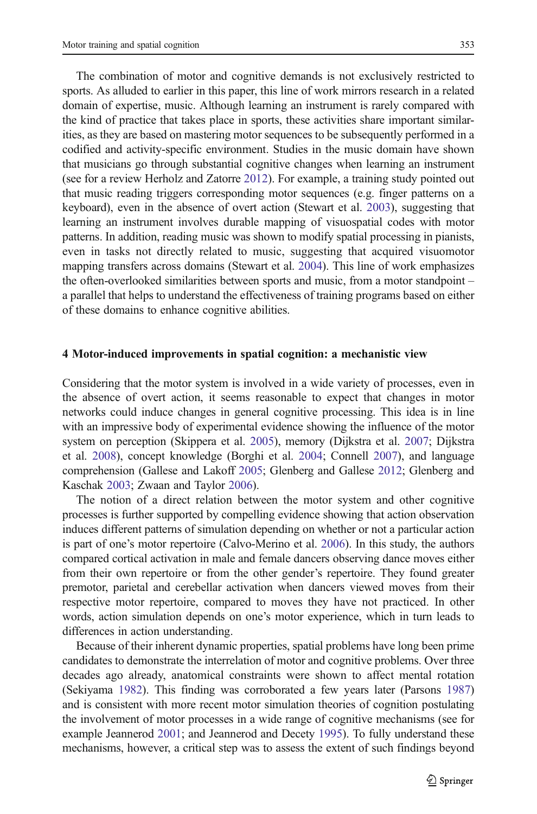The combination of motor and cognitive demands is not exclusively restricted to sports. As alluded to earlier in this paper, this line of work mirrors research in a related domain of expertise, music. Although learning an instrument is rarely compared with the kind of practice that takes place in sports, these activities share important similarities, as they are based on mastering motor sequences to be subsequently performed in a codified and activity-specific environment. Studies in the music domain have shown that musicians go through substantial cognitive changes when learning an instrument (see for a review Herholz and Zatorre [2012](#page-8-0)). For example, a training study pointed out that music reading triggers corresponding motor sequences (e.g. finger patterns on a keyboard), even in the absence of overt action (Stewart et al. [2003\)](#page-10-0), suggesting that learning an instrument involves durable mapping of visuospatial codes with motor patterns. In addition, reading music was shown to modify spatial processing in pianists, even in tasks not directly related to music, suggesting that acquired visuomotor mapping transfers across domains (Stewart et al. [2004\)](#page-10-0). This line of work emphasizes the often-overlooked similarities between sports and music, from a motor standpoint – a parallel that helps to understand the effectiveness of training programs based on either of these domains to enhance cognitive abilities.

#### 4 Motor-induced improvements in spatial cognition: a mechanistic view

Considering that the motor system is involved in a wide variety of processes, even in the absence of overt action, it seems reasonable to expect that changes in motor networks could induce changes in general cognitive processing. This idea is in line with an impressive body of experimental evidence showing the influence of the motor system on perception (Skippera et al. [2005](#page-10-0)), memory (Dijkstra et al. [2007;](#page-8-0) Dijkstra et al. [2008](#page-8-0)), concept knowledge (Borghi et al. [2004](#page-7-0); Connell [2007](#page-7-0)), and language comprehension (Gallese and Lakoff [2005](#page-8-0); Glenberg and Gallese [2012](#page-8-0); Glenberg and Kaschak [2003;](#page-8-0) Zwaan and Taylor [2006\)](#page-10-0).

The notion of a direct relation between the motor system and other cognitive processes is further supported by compelling evidence showing that action observation induces different patterns of simulation depending on whether or not a particular action is part of one's motor repertoire (Calvo-Merino et al. [2006](#page-7-0)). In this study, the authors compared cortical activation in male and female dancers observing dance moves either from their own repertoire or from the other gender's repertoire. They found greater premotor, parietal and cerebellar activation when dancers viewed moves from their respective motor repertoire, compared to moves they have not practiced. In other words, action simulation depends on one's motor experience, which in turn leads to differences in action understanding.

Because of their inherent dynamic properties, spatial problems have long been prime candidates to demonstrate the interrelation of motor and cognitive problems. Over three decades ago already, anatomical constraints were shown to affect mental rotation (Sekiyama [1982](#page-9-0)). This finding was corroborated a few years later (Parsons [1987](#page-9-0)) and is consistent with more recent motor simulation theories of cognition postulating the involvement of motor processes in a wide range of cognitive mechanisms (see for example Jeannerod [2001;](#page-8-0) and Jeannerod and Decety [1995](#page-8-0)). To fully understand these mechanisms, however, a critical step was to assess the extent of such findings beyond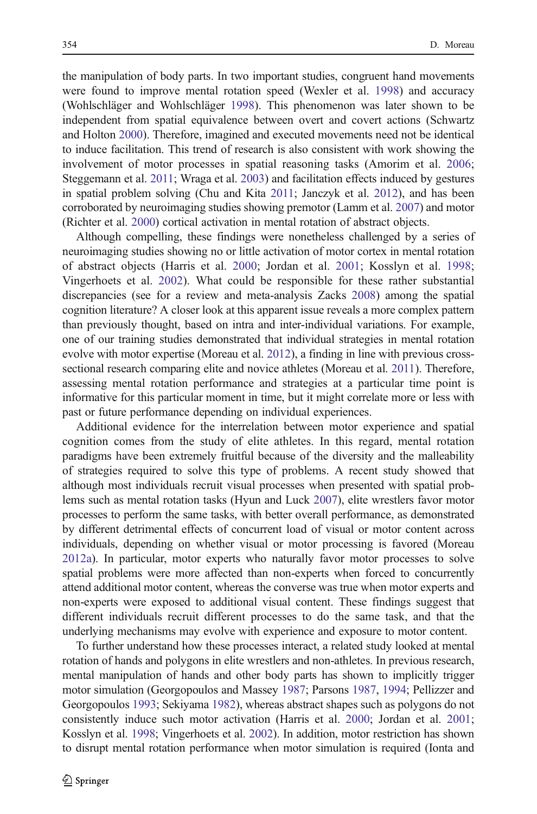the manipulation of body parts. In two important studies, congruent hand movements were found to improve mental rotation speed (Wexler et al. [1998\)](#page-10-0) and accuracy (Wohlschläger and Wohlschläger [1998](#page-10-0)). This phenomenon was later shown to be independent from spatial equivalence between overt and covert actions (Schwartz and Holton [2000\)](#page-9-0). Therefore, imagined and executed movements need not be identical to induce facilitation. This trend of research is also consistent with work showing the involvement of motor processes in spatial reasoning tasks (Amorim et al. [2006;](#page-7-0) Steggemann et al. [2011](#page-10-0); Wraga et al. [2003\)](#page-10-0) and facilitation effects induced by gestures in spatial problem solving (Chu and Kita [2011;](#page-7-0) Janczyk et al. [2012\)](#page-8-0), and has been corroborated by neuroimaging studies showing premotor (Lamm et al. [2007](#page-8-0)) and motor (Richter et al. [2000](#page-9-0)) cortical activation in mental rotation of abstract objects.

Although compelling, these findings were nonetheless challenged by a series of neuroimaging studies showing no or little activation of motor cortex in mental rotation of abstract objects (Harris et al. [2000;](#page-8-0) Jordan et al. [2001;](#page-8-0) Kosslyn et al. [1998;](#page-8-0) Vingerhoets et al. [2002\)](#page-10-0). What could be responsible for these rather substantial discrepancies (see for a review and meta-analysis Zacks [2008\)](#page-10-0) among the spatial cognition literature? A closer look at this apparent issue reveals a more complex pattern than previously thought, based on intra and inter-individual variations. For example, one of our training studies demonstrated that individual strategies in mental rotation evolve with motor expertise (Moreau et al. [2012](#page-9-0)), a finding in line with previous crosssectional research comparing elite and novice athletes (Moreau et al. [2011\)](#page-9-0). Therefore, assessing mental rotation performance and strategies at a particular time point is informative for this particular moment in time, but it might correlate more or less with past or future performance depending on individual experiences.

Additional evidence for the interrelation between motor experience and spatial cognition comes from the study of elite athletes. In this regard, mental rotation paradigms have been extremely fruitful because of the diversity and the malleability of strategies required to solve this type of problems. A recent study showed that although most individuals recruit visual processes when presented with spatial problems such as mental rotation tasks (Hyun and Luck [2007](#page-8-0)), elite wrestlers favor motor processes to perform the same tasks, with better overall performance, as demonstrated by different detrimental effects of concurrent load of visual or motor content across individuals, depending on whether visual or motor processing is favored (Moreau [2012a\)](#page-9-0). In particular, motor experts who naturally favor motor processes to solve spatial problems were more affected than non-experts when forced to concurrently attend additional motor content, whereas the converse was true when motor experts and non-experts were exposed to additional visual content. These findings suggest that different individuals recruit different processes to do the same task, and that the underlying mechanisms may evolve with experience and exposure to motor content.

To further understand how these processes interact, a related study looked at mental rotation of hands and polygons in elite wrestlers and non-athletes. In previous research, mental manipulation of hands and other body parts has shown to implicitly trigger motor simulation (Georgopoulos and Massey [1987](#page-8-0); Parsons [1987,](#page-9-0) [1994;](#page-9-0) Pellizzer and Georgopoulos [1993;](#page-9-0) Sekiyama [1982\)](#page-9-0), whereas abstract shapes such as polygons do not consistently induce such motor activation (Harris et al. [2000;](#page-8-0) Jordan et al. [2001;](#page-8-0) Kosslyn et al. [1998](#page-8-0); Vingerhoets et al. [2002](#page-10-0)). In addition, motor restriction has shown to disrupt mental rotation performance when motor simulation is required (Ionta and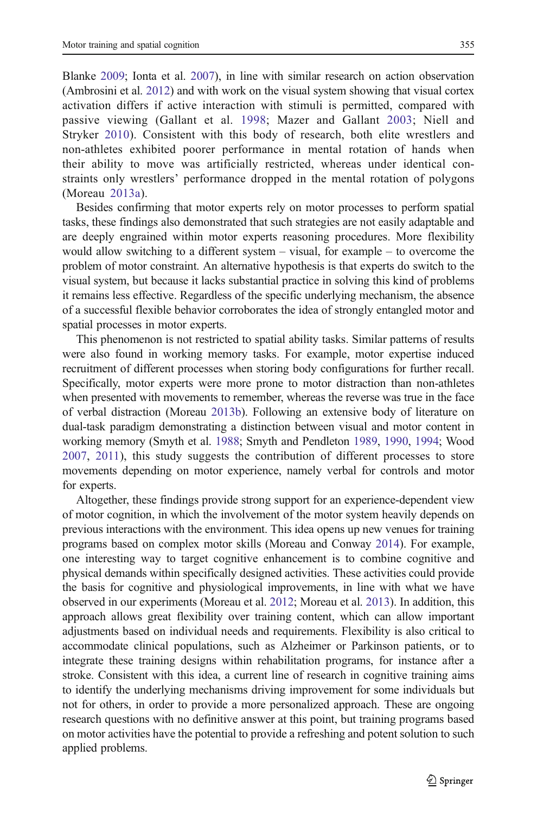Blanke [2009;](#page-8-0) Ionta et al. [2007\)](#page-8-0), in line with similar research on action observation (Ambrosini et al. [2012](#page-7-0)) and with work on the visual system showing that visual cortex activation differs if active interaction with stimuli is permitted, compared with passive viewing (Gallant et al. [1998;](#page-8-0) Mazer and Gallant [2003;](#page-8-0) Niell and Stryker [2010](#page-9-0)). Consistent with this body of research, both elite wrestlers and non-athletes exhibited poorer performance in mental rotation of hands when their ability to move was artificially restricted, whereas under identical constraints only wrestlers' performance dropped in the mental rotation of polygons (Moreau [2013a](#page-9-0)).

Besides confirming that motor experts rely on motor processes to perform spatial tasks, these findings also demonstrated that such strategies are not easily adaptable and are deeply engrained within motor experts reasoning procedures. More flexibility would allow switching to a different system – visual, for example – to overcome the problem of motor constraint. An alternative hypothesis is that experts do switch to the visual system, but because it lacks substantial practice in solving this kind of problems it remains less effective. Regardless of the specific underlying mechanism, the absence of a successful flexible behavior corroborates the idea of strongly entangled motor and spatial processes in motor experts.

This phenomenon is not restricted to spatial ability tasks. Similar patterns of results were also found in working memory tasks. For example, motor expertise induced recruitment of different processes when storing body configurations for further recall. Specifically, motor experts were more prone to motor distraction than non-athletes when presented with movements to remember, whereas the reverse was true in the face of verbal distraction (Moreau [2013b](#page-9-0)). Following an extensive body of literature on dual-task paradigm demonstrating a distinction between visual and motor content in working memory (Smyth et al. [1988;](#page-10-0) Smyth and Pendleton [1989,](#page-10-0) [1990](#page-10-0), [1994](#page-10-0); Wood [2007](#page-10-0), [2011](#page-10-0)), this study suggests the contribution of different processes to store movements depending on motor experience, namely verbal for controls and motor for experts.

Altogether, these findings provide strong support for an experience-dependent view of motor cognition, in which the involvement of the motor system heavily depends on previous interactions with the environment. This idea opens up new venues for training programs based on complex motor skills (Moreau and Conway [2014](#page-9-0)). For example, one interesting way to target cognitive enhancement is to combine cognitive and physical demands within specifically designed activities. These activities could provide the basis for cognitive and physiological improvements, in line with what we have observed in our experiments (Moreau et al. [2012](#page-9-0); Moreau et al. [2013](#page-9-0)). In addition, this approach allows great flexibility over training content, which can allow important adjustments based on individual needs and requirements. Flexibility is also critical to accommodate clinical populations, such as Alzheimer or Parkinson patients, or to integrate these training designs within rehabilitation programs, for instance after a stroke. Consistent with this idea, a current line of research in cognitive training aims to identify the underlying mechanisms driving improvement for some individuals but not for others, in order to provide a more personalized approach. These are ongoing research questions with no definitive answer at this point, but training programs based on motor activities have the potential to provide a refreshing and potent solution to such applied problems.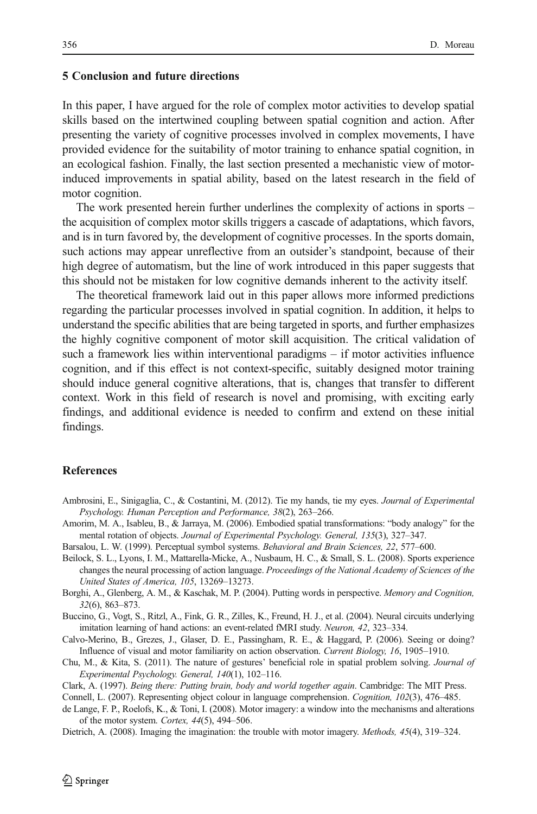### <span id="page-7-0"></span>5 Conclusion and future directions

In this paper, I have argued for the role of complex motor activities to develop spatial skills based on the intertwined coupling between spatial cognition and action. After presenting the variety of cognitive processes involved in complex movements, I have provided evidence for the suitability of motor training to enhance spatial cognition, in an ecological fashion. Finally, the last section presented a mechanistic view of motorinduced improvements in spatial ability, based on the latest research in the field of motor cognition.

The work presented herein further underlines the complexity of actions in sports – the acquisition of complex motor skills triggers a cascade of adaptations, which favors, and is in turn favored by, the development of cognitive processes. In the sports domain, such actions may appear unreflective from an outsider's standpoint, because of their high degree of automatism, but the line of work introduced in this paper suggests that this should not be mistaken for low cognitive demands inherent to the activity itself.

The theoretical framework laid out in this paper allows more informed predictions regarding the particular processes involved in spatial cognition. In addition, it helps to understand the specific abilities that are being targeted in sports, and further emphasizes the highly cognitive component of motor skill acquisition. The critical validation of such a framework lies within interventional paradigms – if motor activities influence cognition, and if this effect is not context-specific, suitably designed motor training should induce general cognitive alterations, that is, changes that transfer to different context. Work in this field of research is novel and promising, with exciting early findings, and additional evidence is needed to confirm and extend on these initial findings.

### References

- Ambrosini, E., Sinigaglia, C., & Costantini, M. (2012). Tie my hands, tie my eyes. Journal of Experimental Psychology. Human Perception and Performance, 38(2), 263–266.
- Amorim, M. A., Isableu, B., & Jarraya, M. (2006). Embodied spatial transformations: "body analogy" for the mental rotation of objects. Journal of Experimental Psychology. General, 135(3), 327–347.
- Barsalou, L. W. (1999). Perceptual symbol systems. Behavioral and Brain Sciences, 22, 577–600.
- Beilock, S. L., Lyons, I. M., Mattarella-Micke, A., Nusbaum, H. C., & Small, S. L. (2008). Sports experience changes the neural processing of action language. Proceedings of the National Academy of Sciences of the United States of America, 105, 13269–13273.
- Borghi, A., Glenberg, A. M., & Kaschak, M. P. (2004). Putting words in perspective. Memory and Cognition, 32(6), 863–873.

Buccino, G., Vogt, S., Ritzl, A., Fink, G. R., Zilles, K., Freund, H. J., et al. (2004). Neural circuits underlying imitation learning of hand actions: an event-related fMRI study. Neuron, 42, 323–334.

- Calvo-Merino, B., Grezes, J., Glaser, D. E., Passingham, R. E., & Haggard, P. (2006). Seeing or doing? Influence of visual and motor familiarity on action observation. Current Biology, 16, 1905–1910.
- Chu, M., & Kita, S. (2011). The nature of gestures' beneficial role in spatial problem solving. Journal of Experimental Psychology. General, 140(1), 102–116.

Clark, A. (1997). Being there: Putting brain, body and world together again. Cambridge: The MIT Press.

Connell, L. (2007). Representing object colour in language comprehension. Cognition, 102(3), 476–485.

de Lange, F. P., Roelofs, K., & Toni, I. (2008). Motor imagery: a window into the mechanisms and alterations of the motor system. Cortex, 44(5), 494–506.

Dietrich, A. (2008). Imaging the imagination: the trouble with motor imagery. *Methods*, 45(4), 319–324.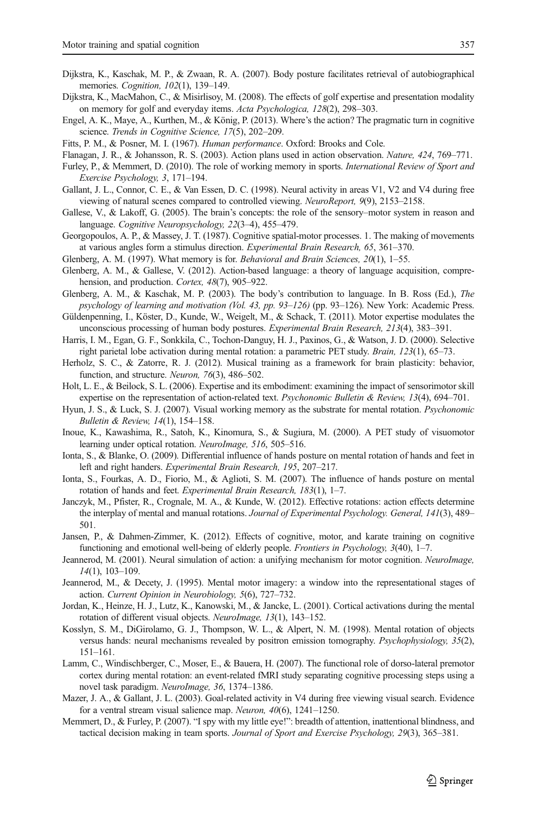- <span id="page-8-0"></span>Dijkstra, K., Kaschak, M. P., & Zwaan, R. A. (2007). Body posture facilitates retrieval of autobiographical memories. *Cognition*, 102(1), 139–149.
- Dijkstra, K., MacMahon, C., & Misirlisoy, M. (2008). The effects of golf expertise and presentation modality on memory for golf and everyday items. Acta Psychologica, 128(2), 298–303.
- Engel, A. K., Maye, A., Kurthen, M., & König, P. (2013). Where's the action? The pragmatic turn in cognitive science. Trends in Cognitive Science, 17(5), 202–209.
- Fitts, P. M., & Posner, M. I. (1967). Human performance. Oxford: Brooks and Cole.
- Flanagan, J. R., & Johansson, R. S. (2003). Action plans used in action observation. Nature, 424, 769–771.
- Furley, P., & Memmert, D. (2010). The role of working memory in sports. International Review of Sport and Exercise Psychology, 3, 171–194.
- Gallant, J. L., Connor, C. E., & Van Essen, D. C. (1998). Neural activity in areas V1, V2 and V4 during free viewing of natural scenes compared to controlled viewing. NeuroReport, 9(9), 2153–2158.
- Gallese, V., & Lakoff, G. (2005). The brain's concepts: the role of the sensory–motor system in reason and language. Cognitive Neuropsychology, 22(3–4), 455–479.
- Georgopoulos, A. P., & Massey, J. T. (1987). Cognitive spatial-motor processes. 1. The making of movements at various angles form a stimulus direction. Experimental Brain Research, 65, 361–370.
- Glenberg, A. M. (1997). What memory is for. Behavioral and Brain Sciences, 20(1), 1–55.
- Glenberg, A. M., & Gallese, V. (2012). Action-based language: a theory of language acquisition, comprehension, and production. Cortex, 48(7), 905–922.
- Glenberg, A. M., & Kaschak, M. P. (2003). The body's contribution to language. In B. Ross (Ed.), The psychology of learning and motivation (Vol. 43, pp. 93–126) (pp. 93–126). New York: Academic Press.
- Güldenpenning, I., Köster, D., Kunde, W., Weigelt, M., & Schack, T. (2011). Motor expertise modulates the unconscious processing of human body postures. Experimental Brain Research, 213(4), 383–391.
- Harris, I. M., Egan, G. F., Sonkkila, C., Tochon-Danguy, H. J., Paxinos, G., & Watson, J. D. (2000). Selective right parietal lobe activation during mental rotation: a parametric PET study. Brain, 123(1), 65–73.
- Herholz, S. C., & Zatorre, R. J. (2012). Musical training as a framework for brain plasticity: behavior, function, and structure. Neuron, 76(3), 486–502.
- Holt, L. E., & Beilock, S. L. (2006). Expertise and its embodiment: examining the impact of sensorimotor skill expertise on the representation of action-related text. Psychonomic Bulletin & Review, 13(4), 694–701.
- Hyun, J. S., & Luck, S. J. (2007). Visual working memory as the substrate for mental rotation. *Psychonomic* Bulletin & Review, 14(1), 154–158.
- Inoue, K., Kawashima, R., Satoh, K., Kinomura, S., & Sugiura, M. (2000). A PET study of visuomotor learning under optical rotation. NeuroImage, 516, 505–516.
- Ionta, S., & Blanke, O. (2009). Differential influence of hands posture on mental rotation of hands and feet in left and right handers. Experimental Brain Research, 195, 207–217.
- Ionta, S., Fourkas, A. D., Fiorio, M., & Aglioti, S. M. (2007). The influence of hands posture on mental rotation of hands and feet. Experimental Brain Research, 183(1), 1–7.
- Janczyk, M., Pfister, R., Crognale, M. A., & Kunde, W. (2012). Effective rotations: action effects determine the interplay of mental and manual rotations. Journal of Experimental Psychology. General, 141(3), 489-501.
- Jansen, P., & Dahmen-Zimmer, K. (2012). Effects of cognitive, motor, and karate training on cognitive functioning and emotional well-being of elderly people. Frontiers in Psychology, 3(40), 1–7.
- Jeannerod, M. (2001). Neural simulation of action: a unifying mechanism for motor cognition. NeuroImage, 14(1), 103–109.
- Jeannerod, M., & Decety, J. (1995). Mental motor imagery: a window into the representational stages of action. Current Opinion in Neurobiology, 5(6), 727–732.
- Jordan, K., Heinze, H. J., Lutz, K., Kanowski, M., & Jancke, L. (2001). Cortical activations during the mental rotation of different visual objects. NeuroImage, 13(1), 143–152.
- Kosslyn, S. M., DiGirolamo, G. J., Thompson, W. L., & Alpert, N. M. (1998). Mental rotation of objects versus hands: neural mechanisms revealed by positron emission tomography. Psychophysiology, 35(2), 151–161.
- Lamm, C., Windischberger, C., Moser, E., & Bauera, H. (2007). The functional role of dorso-lateral premotor cortex during mental rotation: an event-related fMRI study separating cognitive processing steps using a novel task paradigm. NeuroImage, 36, 1374–1386.
- Mazer, J. A., & Gallant, J. L. (2003). Goal-related activity in V4 during free viewing visual search. Evidence for a ventral stream visual salience map. Neuron, 40(6), 1241–1250.
- Memmert, D., & Furley, P. (2007). "I spy with my little eye!": breadth of attention, inattentional blindness, and tactical decision making in team sports. Journal of Sport and Exercise Psychology, 29(3), 365-381.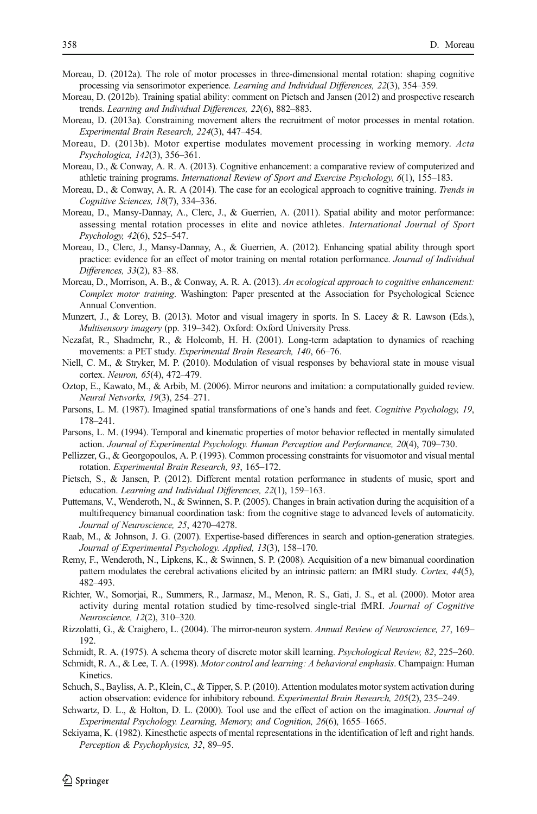- <span id="page-9-0"></span>Moreau, D. (2012a). The role of motor processes in three-dimensional mental rotation: shaping cognitive processing via sensorimotor experience. Learning and Individual Differences, 22(3), 354–359.
- Moreau, D. (2012b). Training spatial ability: comment on Pietsch and Jansen (2012) and prospective research trends. Learning and Individual Differences, 22(6), 882–883.
- Moreau, D. (2013a). Constraining movement alters the recruitment of motor processes in mental rotation. Experimental Brain Research, 224(3), 447–454.
- Moreau, D. (2013b). Motor expertise modulates movement processing in working memory. Acta Psychologica, 142(3), 356–361.
- Moreau, D., & Conway, A. R. A. (2013). Cognitive enhancement: a comparative review of computerized and athletic training programs. International Review of Sport and Exercise Psychology, 6(1), 155–183.
- Moreau, D., & Conway, A. R. A (2014). The case for an ecological approach to cognitive training. Trends in Cognitive Sciences, 18(7), 334–336.
- Moreau, D., Mansy-Dannay, A., Clerc, J., & Guerrien, A. (2011). Spatial ability and motor performance: assessing mental rotation processes in elite and novice athletes. International Journal of Sport Psychology, 42(6), 525–547.
- Moreau, D., Clerc, J., Mansy-Dannay, A., & Guerrien, A. (2012). Enhancing spatial ability through sport practice: evidence for an effect of motor training on mental rotation performance. Journal of Individual Differences, 33(2), 83–88.
- Moreau, D., Morrison, A. B., & Conway, A. R. A. (2013). An ecological approach to cognitive enhancement: Complex motor training. Washington: Paper presented at the Association for Psychological Science Annual Convention.
- Munzert, J., & Lorey, B. (2013). Motor and visual imagery in sports. In S. Lacey & R. Lawson (Eds.), Multisensory imagery (pp. 319–342). Oxford: Oxford University Press.
- Nezafat, R., Shadmehr, R., & Holcomb, H. H. (2001). Long-term adaptation to dynamics of reaching movements: a PET study. Experimental Brain Research, 140, 66–76.
- Niell, C. M., & Stryker, M. P. (2010). Modulation of visual responses by behavioral state in mouse visual cortex. Neuron, 65(4), 472–479.
- Oztop, E., Kawato, M., & Arbib, M. (2006). Mirror neurons and imitation: a computationally guided review. Neural Networks, 19(3), 254–271.
- Parsons, L. M. (1987). Imagined spatial transformations of one's hands and feet. Cognitive Psychology, 19, 178–241.
- Parsons, L. M. (1994). Temporal and kinematic properties of motor behavior reflected in mentally simulated action. Journal of Experimental Psychology. Human Perception and Performance, 20(4), 709–730.
- Pellizzer, G., & Georgopoulos, A. P. (1993). Common processing constraints for visuomotor and visual mental rotation. Experimental Brain Research, 93, 165–172.
- Pietsch, S., & Jansen, P. (2012). Different mental rotation performance in students of music, sport and education. Learning and Individual Differences, 22(1), 159–163.
- Puttemans, V., Wenderoth, N., & Swinnen, S. P. (2005). Changes in brain activation during the acquisition of a multifrequency bimanual coordination task: from the cognitive stage to advanced levels of automaticity. Journal of Neuroscience, 25, 4270–4278.
- Raab, M., & Johnson, J. G. (2007). Expertise-based differences in search and option-generation strategies. Journal of Experimental Psychology. Applied, 13(3), 158–170.
- Remy, F., Wenderoth, N., Lipkens, K., & Swinnen, S. P. (2008). Acquisition of a new bimanual coordination pattern modulates the cerebral activations elicited by an intrinsic pattern: an fMRI study. Cortex, 44(5), 482–493.
- Richter, W., Somorjai, R., Summers, R., Jarmasz, M., Menon, R. S., Gati, J. S., et al. (2000). Motor area activity during mental rotation studied by time-resolved single-trial fMRI. Journal of Cognitive Neuroscience, 12(2), 310–320.
- Rizzolatti, G., & Craighero, L. (2004). The mirror-neuron system. Annual Review of Neuroscience, 27, 169– 192.
- Schmidt, R. A. (1975). A schema theory of discrete motor skill learning. Psychological Review, 82, 225–260.
- Schmidt, R. A., & Lee, T. A. (1998). Motor control and learning: A behavioral emphasis. Champaign: Human **K**inetics.
- Schuch, S., Bayliss, A. P., Klein, C., & Tipper, S. P. (2010). Attention modulates motor system activation during action observation: evidence for inhibitory rebound. Experimental Brain Research, 205(2), 235–249.
- Schwartz, D. L., & Holton, D. L. (2000). Tool use and the effect of action on the imagination. Journal of Experimental Psychology. Learning, Memory, and Cognition, 26(6), 1655–1665.
- Sekiyama, K. (1982). Kinesthetic aspects of mental representations in the identification of left and right hands. Perception & Psychophysics, 32, 89–95.